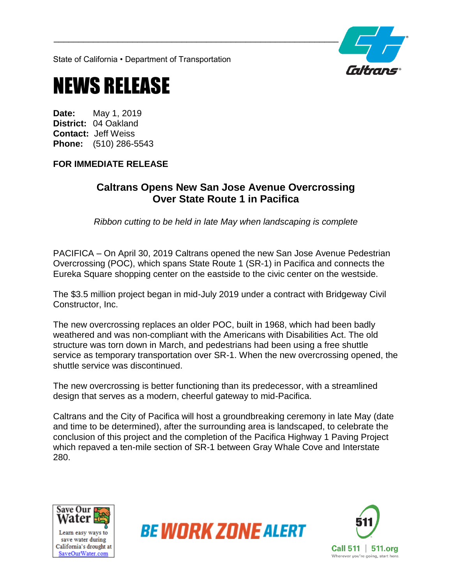State of California • Department of Transportation



## NEWS RELEASE

**Date:** May 1, 2019 **District:** 04 Oakland **Contact:** Jeff Weiss **Phone:** (510) 286-5543

## **FOR IMMEDIATE RELEASE**

## **Caltrans Opens New San Jose Avenue Overcrossing Over State Route 1 in Pacifica**

*Ribbon cutting to be held in late May when landscaping is complete* 

PACIFICA – On April 30, 2019 Caltrans opened the new San Jose Avenue Pedestrian Overcrossing (POC), which spans State Route 1 (SR-1) in Pacifica and connects the Eureka Square shopping center on the eastside to the civic center on the westside.

The \$3.5 million project began in mid-July 2019 under a contract with Bridgeway Civil Constructor, Inc.

The new overcrossing replaces an older POC, built in 1968, which had been badly weathered and was non-compliant with the Americans with Disabilities Act. The old structure was torn down in March, and pedestrians had been using a free shuttle service as temporary transportation over SR-1. When the new overcrossing opened, the shuttle service was discontinued.

The new overcrossing is better functioning than its predecessor, with a streamlined design that serves as a modern, cheerful gateway to mid-Pacifica.

Caltrans and the City of Pacifica will host a groundbreaking ceremony in late May (date and time to be determined), after the surrounding area is landscaped, to celebrate the conclusion of this project and the completion of the Pacifica Highway 1 Paving Project which repaved a ten-mile section of SR-1 between Gray Whale Cove and Interstate 280.